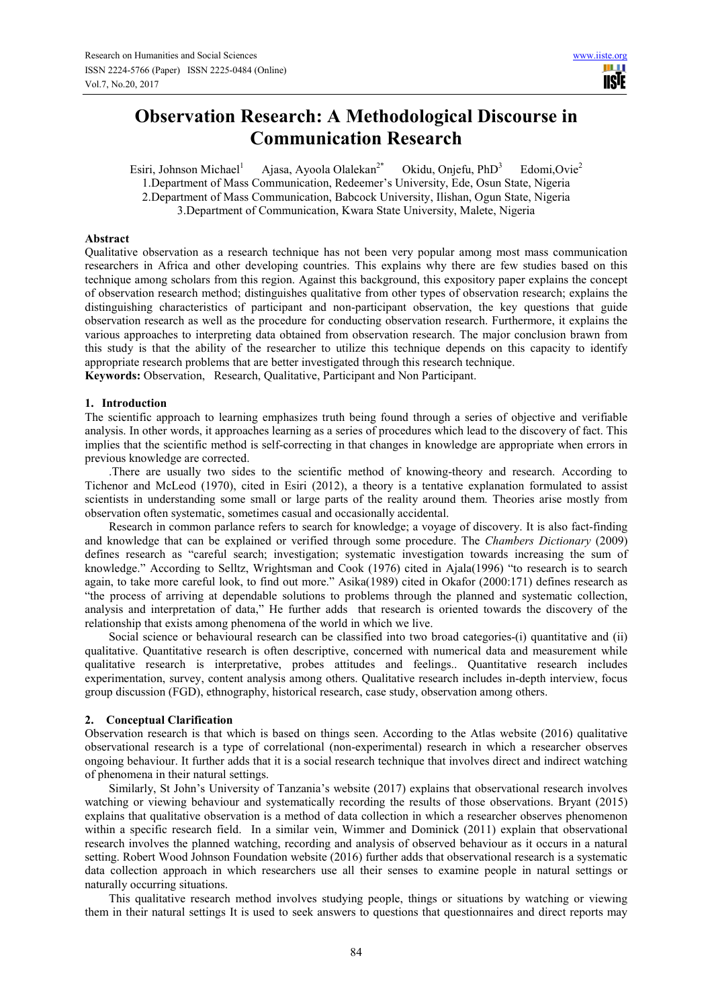# **Observation Research: A Methodological Discourse in Communication Research**

Esiri, Johnson Michael<sup>1</sup> Ajasa, Ayoola Olalekan<sup>2\*</sup> Okidu, Onjefu, PhD<sup>3</sup> Edomi, Ovie<sup>2</sup> 1.Department of Mass Communication, Redeemer's University, Ede, Osun State, Nigeria 2.Department of Mass Communication, Babcock University, Ilishan, Ogun State, Nigeria 3.Department of Communication, Kwara State University, Malete, Nigeria

# **Abstract**

Qualitative observation as a research technique has not been very popular among most mass communication researchers in Africa and other developing countries. This explains why there are few studies based on this technique among scholars from this region. Against this background, this expository paper explains the concept of observation research method; distinguishes qualitative from other types of observation research; explains the distinguishing characteristics of participant and non-participant observation, the key questions that guide observation research as well as the procedure for conducting observation research. Furthermore, it explains the various approaches to interpreting data obtained from observation research. The major conclusion brawn from this study is that the ability of the researcher to utilize this technique depends on this capacity to identify appropriate research problems that are better investigated through this research technique. **Keywords:** Observation, Research, Qualitative, Participant and Non Participant.

# **1. Introduction**

The scientific approach to learning emphasizes truth being found through a series of objective and verifiable analysis. In other words, it approaches learning as a series of procedures which lead to the discovery of fact. This implies that the scientific method is self-correcting in that changes in knowledge are appropriate when errors in previous knowledge are corrected.

.There are usually two sides to the scientific method of knowing-theory and research. According to Tichenor and McLeod (1970), cited in Esiri (2012), a theory is a tentative explanation formulated to assist scientists in understanding some small or large parts of the reality around them. Theories arise mostly from observation often systematic, sometimes casual and occasionally accidental.

Research in common parlance refers to search for knowledge; a voyage of discovery. It is also fact-finding and knowledge that can be explained or verified through some procedure. The *Chambers Dictionary* (2009) defines research as "careful search; investigation; systematic investigation towards increasing the sum of knowledge." According to Selltz, Wrightsman and Cook (1976) cited in Ajala(1996) "to research is to search again, to take more careful look, to find out more." Asika(1989) cited in Okafor (2000:171) defines research as "the process of arriving at dependable solutions to problems through the planned and systematic collection, analysis and interpretation of data," He further adds that research is oriented towards the discovery of the relationship that exists among phenomena of the world in which we live.

Social science or behavioural research can be classified into two broad categories-(i) quantitative and (ii) qualitative. Quantitative research is often descriptive, concerned with numerical data and measurement while qualitative research is interpretative, probes attitudes and feelings.. Quantitative research includes experimentation, survey, content analysis among others. Qualitative research includes in-depth interview, focus group discussion (FGD), ethnography, historical research, case study, observation among others.

# **2. Conceptual Clarification**

Observation research is that which is based on things seen. According to the Atlas website (2016) qualitative observational research is a type of correlational (non-experimental) research in which a researcher observes ongoing behaviour. It further adds that it is a social research technique that involves direct and indirect watching of phenomena in their natural settings.

Similarly, St John's University of Tanzania's website (2017) explains that observational research involves watching or viewing behaviour and systematically recording the results of those observations. Bryant (2015) explains that qualitative observation is a method of data collection in which a researcher observes phenomenon within a specific research field. In a similar vein, Wimmer and Dominick (2011) explain that observational research involves the planned watching, recording and analysis of observed behaviour as it occurs in a natural setting. Robert Wood Johnson Foundation website (2016) further adds that observational research is a systematic data collection approach in which researchers use all their senses to examine people in natural settings or naturally occurring situations.

This qualitative research method involves studying people, things or situations by watching or viewing them in their natural settings It is used to seek answers to questions that questionnaires and direct reports may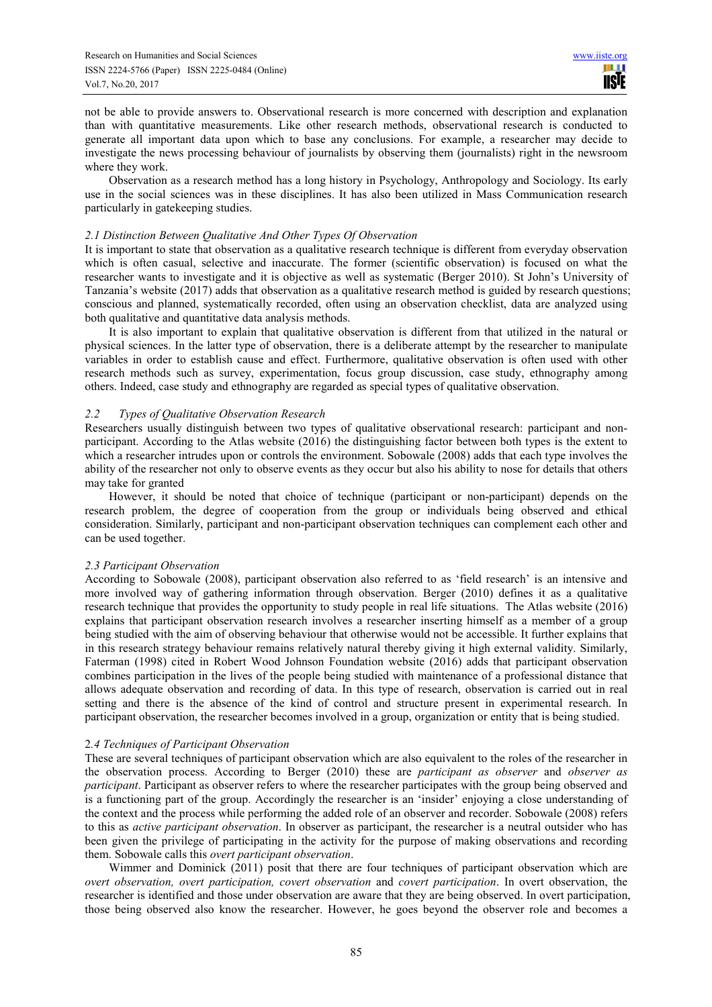not be able to provide answers to. Observational research is more concerned with description and explanation than with quantitative measurements. Like other research methods, observational research is conducted to generate all important data upon which to base any conclusions. For example, a researcher may decide to investigate the news processing behaviour of journalists by observing them (journalists) right in the newsroom where they work.

Observation as a research method has a long history in Psychology, Anthropology and Sociology. Its early use in the social sciences was in these disciplines. It has also been utilized in Mass Communication research particularly in gatekeeping studies.

# *2.1 Distinction Between Qualitative And Other Types Of Observation*

It is important to state that observation as a qualitative research technique is different from everyday observation which is often casual, selective and inaccurate. The former (scientific observation) is focused on what the researcher wants to investigate and it is objective as well as systematic (Berger 2010). St John's University of Tanzania's website (2017) adds that observation as a qualitative research method is guided by research questions; conscious and planned, systematically recorded, often using an observation checklist, data are analyzed using both qualitative and quantitative data analysis methods.

It is also important to explain that qualitative observation is different from that utilized in the natural or physical sciences. In the latter type of observation, there is a deliberate attempt by the researcher to manipulate variables in order to establish cause and effect. Furthermore, qualitative observation is often used with other research methods such as survey, experimentation, focus group discussion, case study, ethnography among others. Indeed, case study and ethnography are regarded as special types of qualitative observation.

# *2.2 Types of Qualitative Observation Research*

Researchers usually distinguish between two types of qualitative observational research: participant and nonparticipant. According to the Atlas website (2016) the distinguishing factor between both types is the extent to which a researcher intrudes upon or controls the environment. Sobowale (2008) adds that each type involves the ability of the researcher not only to observe events as they occur but also his ability to nose for details that others may take for granted

However, it should be noted that choice of technique (participant or non-participant) depends on the research problem, the degree of cooperation from the group or individuals being observed and ethical consideration. Similarly, participant and non-participant observation techniques can complement each other and can be used together.

# *2.3 Participant Observation*

According to Sobowale (2008), participant observation also referred to as 'field research' is an intensive and more involved way of gathering information through observation. Berger (2010) defines it as a qualitative research technique that provides the opportunity to study people in real life situations. The Atlas website (2016) explains that participant observation research involves a researcher inserting himself as a member of a group being studied with the aim of observing behaviour that otherwise would not be accessible. It further explains that in this research strategy behaviour remains relatively natural thereby giving it high external validity. Similarly, Faterman (1998) cited in Robert Wood Johnson Foundation website (2016) adds that participant observation combines participation in the lives of the people being studied with maintenance of a professional distance that allows adequate observation and recording of data. In this type of research, observation is carried out in real setting and there is the absence of the kind of control and structure present in experimental research. In participant observation, the researcher becomes involved in a group, organization or entity that is being studied.

# 2*.4 Techniques of Participant Observation*

These are several techniques of participant observation which are also equivalent to the roles of the researcher in the observation process. According to Berger (2010) these are *participant as observer* and *observer as participant*. Participant as observer refers to where the researcher participates with the group being observed and is a functioning part of the group. Accordingly the researcher is an 'insider' enjoying a close understanding of the context and the process while performing the added role of an observer and recorder. Sobowale (2008) refers to this as *active participant observation*. In observer as participant, the researcher is a neutral outsider who has been given the privilege of participating in the activity for the purpose of making observations and recording them. Sobowale calls this *overt participant observation*.

Wimmer and Dominick (2011) posit that there are four techniques of participant observation which are *overt observation, overt participation, covert observation* and *covert participation*. In overt observation, the researcher is identified and those under observation are aware that they are being observed. In overt participation, those being observed also know the researcher. However, he goes beyond the observer role and becomes a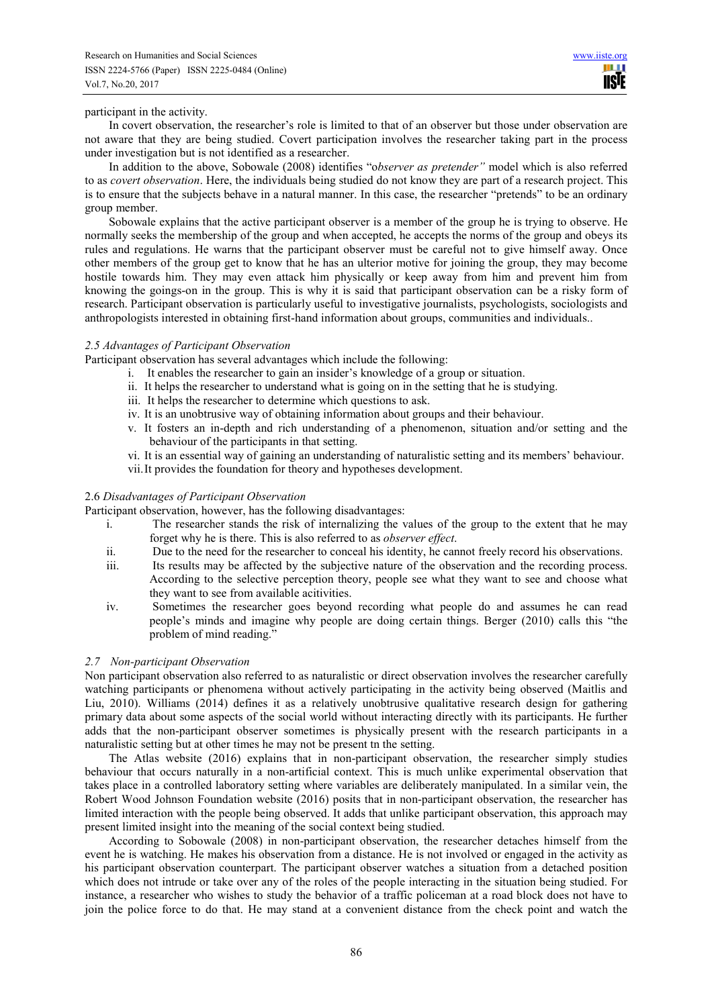HI I **TISIE** 

#### participant in the activity.

In covert observation, the researcher's role is limited to that of an observer but those under observation are not aware that they are being studied. Covert participation involves the researcher taking part in the process under investigation but is not identified as a researcher.

In addition to the above, Sobowale (2008) identifies "o*bserver as pretender"* model which is also referred to as *covert observation*. Here, the individuals being studied do not know they are part of a research project. This is to ensure that the subjects behave in a natural manner. In this case, the researcher "pretends" to be an ordinary group member.

Sobowale explains that the active participant observer is a member of the group he is trying to observe. He normally seeks the membership of the group and when accepted, he accepts the norms of the group and obeys its rules and regulations. He warns that the participant observer must be careful not to give himself away. Once other members of the group get to know that he has an ulterior motive for joining the group, they may become hostile towards him. They may even attack him physically or keep away from him and prevent him from knowing the goings-on in the group. This is why it is said that participant observation can be a risky form of research. Participant observation is particularly useful to investigative journalists, psychologists, sociologists and anthropologists interested in obtaining first-hand information about groups, communities and individuals..

# *2.5 Advantages of Participant Observation*

Participant observation has several advantages which include the following:

- i. It enables the researcher to gain an insider's knowledge of a group or situation.
- ii. It helps the researcher to understand what is going on in the setting that he is studying.
- iii. It helps the researcher to determine which questions to ask.
- iv. It is an unobtrusive way of obtaining information about groups and their behaviour.
- v. It fosters an in-depth and rich understanding of a phenomenon, situation and/or setting and the behaviour of the participants in that setting.
- vi. It is an essential way of gaining an understanding of naturalistic setting and its members' behaviour.
- vii.It provides the foundation for theory and hypotheses development.

# 2.6 *Disadvantages of Participant Observation*

Participant observation, however, has the following disadvantages:

- i. The researcher stands the risk of internalizing the values of the group to the extent that he may forget why he is there. This is also referred to as *observer effect*.
- ii. Due to the need for the researcher to conceal his identity, he cannot freely record his observations.
- iii. Its results may be affected by the subjective nature of the observation and the recording process. According to the selective perception theory, people see what they want to see and choose what they want to see from available acitivities.
- iv. Sometimes the researcher goes beyond recording what people do and assumes he can read people's minds and imagine why people are doing certain things. Berger (2010) calls this "the problem of mind reading."

# *2.7 Non-participant Observation*

Non participant observation also referred to as naturalistic or direct observation involves the researcher carefully watching participants or phenomena without actively participating in the activity being observed (Maitlis and Liu, 2010). Williams (2014) defines it as a relatively unobtrusive qualitative research design for gathering primary data about some aspects of the social world without interacting directly with its participants. He further adds that the non-participant observer sometimes is physically present with the research participants in a naturalistic setting but at other times he may not be present tn the setting.

The Atlas website (2016) explains that in non-participant observation, the researcher simply studies behaviour that occurs naturally in a non-artificial context. This is much unlike experimental observation that takes place in a controlled laboratory setting where variables are deliberately manipulated. In a similar vein, the Robert Wood Johnson Foundation website (2016) posits that in non-participant observation, the researcher has limited interaction with the people being observed. It adds that unlike participant observation, this approach may present limited insight into the meaning of the social context being studied.

According to Sobowale (2008) in non-participant observation, the researcher detaches himself from the event he is watching. He makes his observation from a distance. He is not involved or engaged in the activity as his participant observation counterpart. The participant observer watches a situation from a detached position which does not intrude or take over any of the roles of the people interacting in the situation being studied. For instance, a researcher who wishes to study the behavior of a traffic policeman at a road block does not have to join the police force to do that. He may stand at a convenient distance from the check point and watch the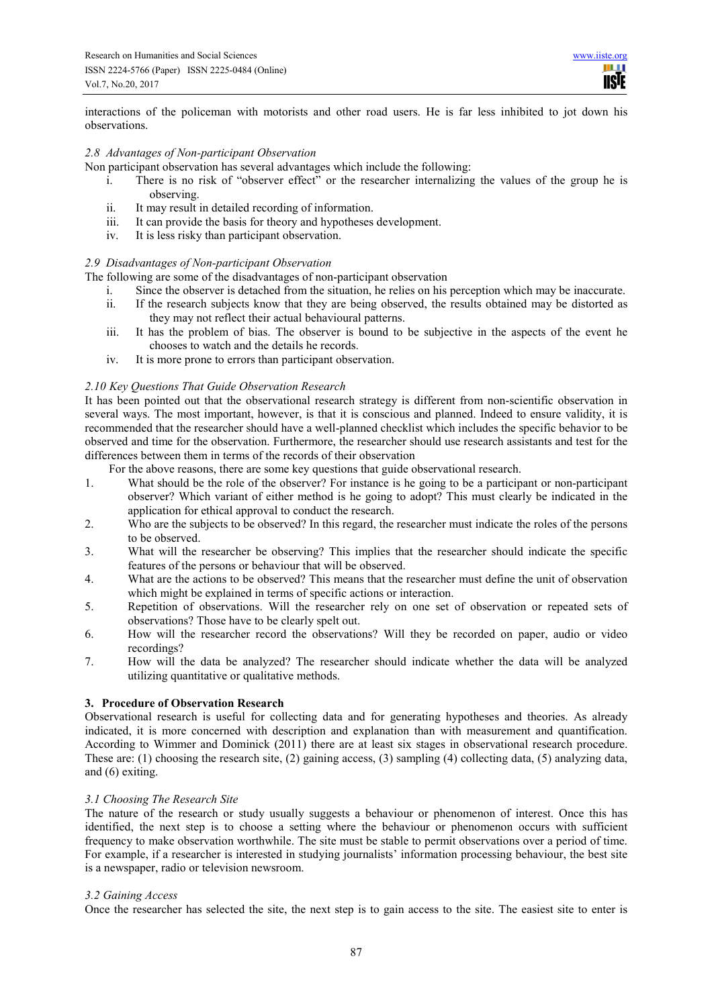шш **TISIE** 

interactions of the policeman with motorists and other road users. He is far less inhibited to jot down his observations.

# *2.8 Advantages of Non-participant Observation*

Non participant observation has several advantages which include the following:

- i. There is no risk of "observer effect" or the researcher internalizing the values of the group he is observing.
- ii. It may result in detailed recording of information.
- iii. It can provide the basis for theory and hypotheses development.
- iv. It is less risky than participant observation.

# *2.9 Disadvantages of Non-participant Observation*

The following are some of the disadvantages of non-participant observation

- i. Since the observer is detached from the situation, he relies on his perception which may be inaccurate.
- ii. If the research subjects know that they are being observed, the results obtained may be distorted as they may not reflect their actual behavioural patterns.
- iii. It has the problem of bias. The observer is bound to be subjective in the aspects of the event he chooses to watch and the details he records.
- iv. It is more prone to errors than participant observation.

# *2.10 Key Questions That Guide Observation Research*

It has been pointed out that the observational research strategy is different from non-scientific observation in several ways. The most important, however, is that it is conscious and planned. Indeed to ensure validity, it is recommended that the researcher should have a well-planned checklist which includes the specific behavior to be observed and time for the observation. Furthermore, the researcher should use research assistants and test for the differences between them in terms of the records of their observation

For the above reasons, there are some key questions that guide observational research.

- 1. What should be the role of the observer? For instance is he going to be a participant or non-participant observer? Which variant of either method is he going to adopt? This must clearly be indicated in the application for ethical approval to conduct the research.
- 2. Who are the subjects to be observed? In this regard, the researcher must indicate the roles of the persons to be observed.
- 3. What will the researcher be observing? This implies that the researcher should indicate the specific features of the persons or behaviour that will be observed.
- 4. What are the actions to be observed? This means that the researcher must define the unit of observation which might be explained in terms of specific actions or interaction.
- 5. Repetition of observations. Will the researcher rely on one set of observation or repeated sets of observations? Those have to be clearly spelt out.
- 6. How will the researcher record the observations? Will they be recorded on paper, audio or video recordings?
- 7. How will the data be analyzed? The researcher should indicate whether the data will be analyzed utilizing quantitative or qualitative methods.

# **3. Procedure of Observation Research**

Observational research is useful for collecting data and for generating hypotheses and theories. As already indicated, it is more concerned with description and explanation than with measurement and quantification. According to Wimmer and Dominick (2011) there are at least six stages in observational research procedure. These are: (1) choosing the research site, (2) gaining access, (3) sampling (4) collecting data, (5) analyzing data, and (6) exiting.

# *3.1 Choosing The Research Site*

The nature of the research or study usually suggests a behaviour or phenomenon of interest. Once this has identified, the next step is to choose a setting where the behaviour or phenomenon occurs with sufficient frequency to make observation worthwhile. The site must be stable to permit observations over a period of time. For example, if a researcher is interested in studying journalists' information processing behaviour, the best site is a newspaper, radio or television newsroom.

# *3.2 Gaining Access*

Once the researcher has selected the site, the next step is to gain access to the site. The easiest site to enter is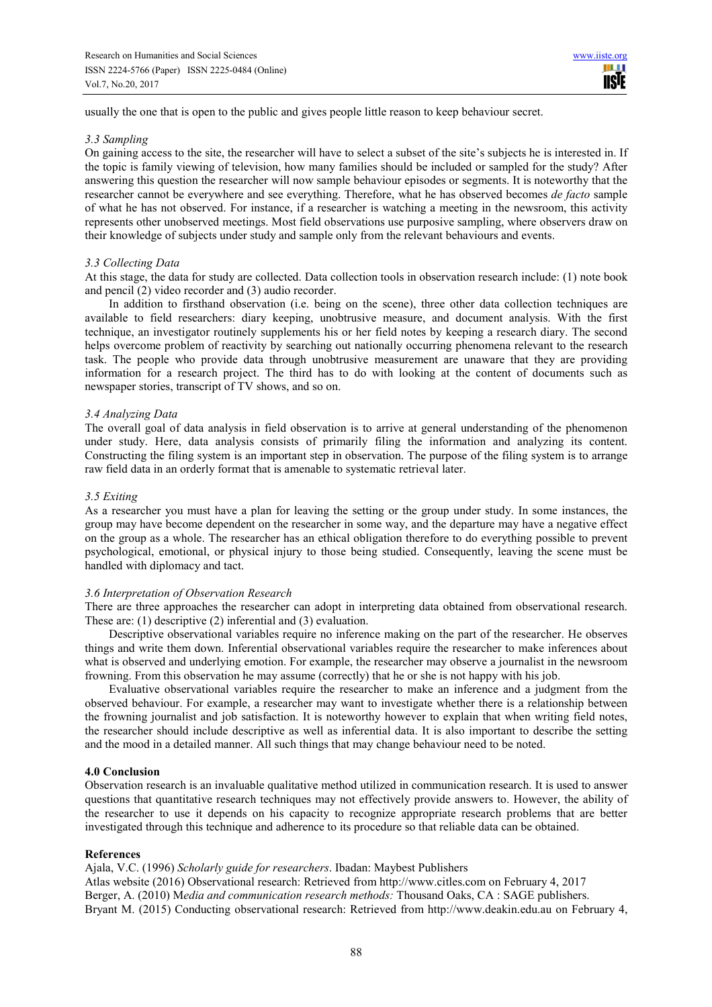usually the one that is open to the public and gives people little reason to keep behaviour secret.

#### *3.3 Sampling*

On gaining access to the site, the researcher will have to select a subset of the site's subjects he is interested in. If the topic is family viewing of television, how many families should be included or sampled for the study? After answering this question the researcher will now sample behaviour episodes or segments. It is noteworthy that the researcher cannot be everywhere and see everything. Therefore, what he has observed becomes *de facto* sample of what he has not observed. For instance, if a researcher is watching a meeting in the newsroom, this activity represents other unobserved meetings. Most field observations use purposive sampling, where observers draw on their knowledge of subjects under study and sample only from the relevant behaviours and events.

# *3.3 Collecting Data*

At this stage, the data for study are collected. Data collection tools in observation research include: (1) note book and pencil (2) video recorder and (3) audio recorder.

In addition to firsthand observation (i.e. being on the scene), three other data collection techniques are available to field researchers: diary keeping, unobtrusive measure, and document analysis. With the first technique, an investigator routinely supplements his or her field notes by keeping a research diary. The second helps overcome problem of reactivity by searching out nationally occurring phenomena relevant to the research task. The people who provide data through unobtrusive measurement are unaware that they are providing information for a research project. The third has to do with looking at the content of documents such as newspaper stories, transcript of TV shows, and so on.

# *3.4 Analyzing Data*

The overall goal of data analysis in field observation is to arrive at general understanding of the phenomenon under study. Here, data analysis consists of primarily filing the information and analyzing its content. Constructing the filing system is an important step in observation. The purpose of the filing system is to arrange raw field data in an orderly format that is amenable to systematic retrieval later.

# *3.5 Exiting*

As a researcher you must have a plan for leaving the setting or the group under study. In some instances, the group may have become dependent on the researcher in some way, and the departure may have a negative effect on the group as a whole. The researcher has an ethical obligation therefore to do everything possible to prevent psychological, emotional, or physical injury to those being studied. Consequently, leaving the scene must be handled with diplomacy and tact.

# *3.6 Interpretation of Observation Research*

There are three approaches the researcher can adopt in interpreting data obtained from observational research. These are: (1) descriptive (2) inferential and (3) evaluation.

Descriptive observational variables require no inference making on the part of the researcher. He observes things and write them down. Inferential observational variables require the researcher to make inferences about what is observed and underlying emotion. For example, the researcher may observe a journalist in the newsroom frowning. From this observation he may assume (correctly) that he or she is not happy with his job.

Evaluative observational variables require the researcher to make an inference and a judgment from the observed behaviour. For example, a researcher may want to investigate whether there is a relationship between the frowning journalist and job satisfaction. It is noteworthy however to explain that when writing field notes, the researcher should include descriptive as well as inferential data. It is also important to describe the setting and the mood in a detailed manner. All such things that may change behaviour need to be noted.

# **4.0 Conclusion**

Observation research is an invaluable qualitative method utilized in communication research. It is used to answer questions that quantitative research techniques may not effectively provide answers to. However, the ability of the researcher to use it depends on his capacity to recognize appropriate research problems that are better investigated through this technique and adherence to its procedure so that reliable data can be obtained.

# **References**

Ajala, V.C. (1996) *Scholarly guide for researchers*. Ibadan: Maybest Publishers Atlas website (2016) Observational research: Retrieved from http://www.citles.com on February 4, 2017 Berger, A. (2010) M*edia and communication research methods:* Thousand Oaks, CA : SAGE publishers.

Bryant M. (2015) Conducting observational research: Retrieved from http://www.deakin.edu.au on February 4,